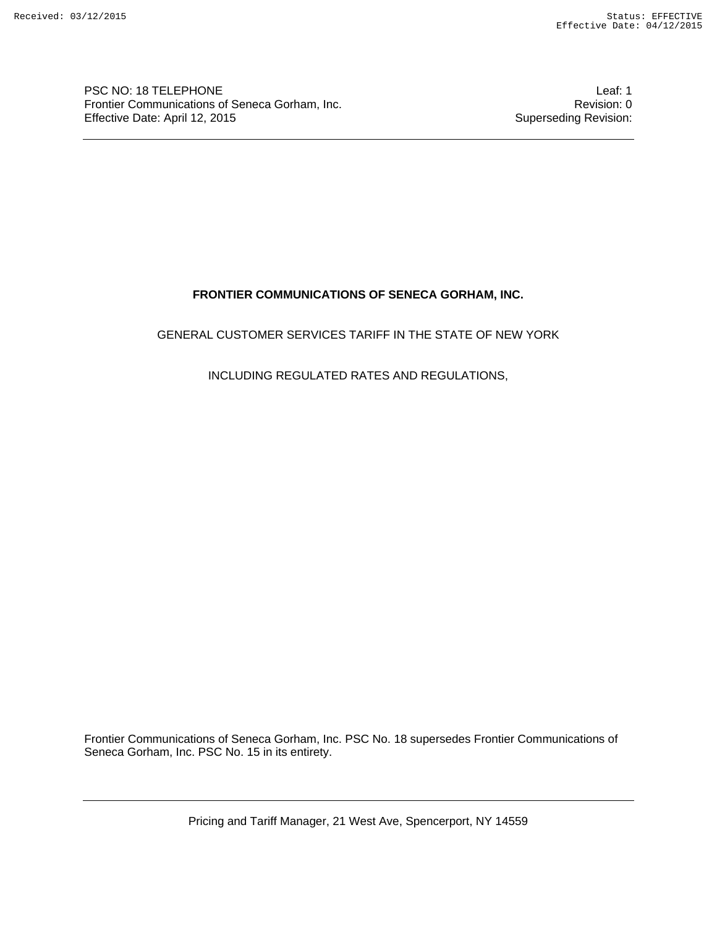PSC NO: 18 TELEPHONE<br>Frontier Communications of Seneca Gorham, Inc. Communications of Seneca Gorham, Inc. Frontier Communications of Seneca Gorham, Inc.<br>
Effective Date: April 12, 2015<br>
Superseding Revision: Effective Date: April 12, 2015

# **FRONTIER COMMUNICATIONS OF SENECA GORHAM, INC.**

## GENERAL CUSTOMER SERVICES TARIFF IN THE STATE OF NEW YORK

## INCLUDING REGULATED RATES AND REGULATIONS,

Frontier Communications of Seneca Gorham, Inc. PSC No. 18 supersedes Frontier Communications of Seneca Gorham, Inc. PSC No. 15 in its entirety.

Pricing and Tariff Manager, 21 West Ave, Spencerport, NY 14559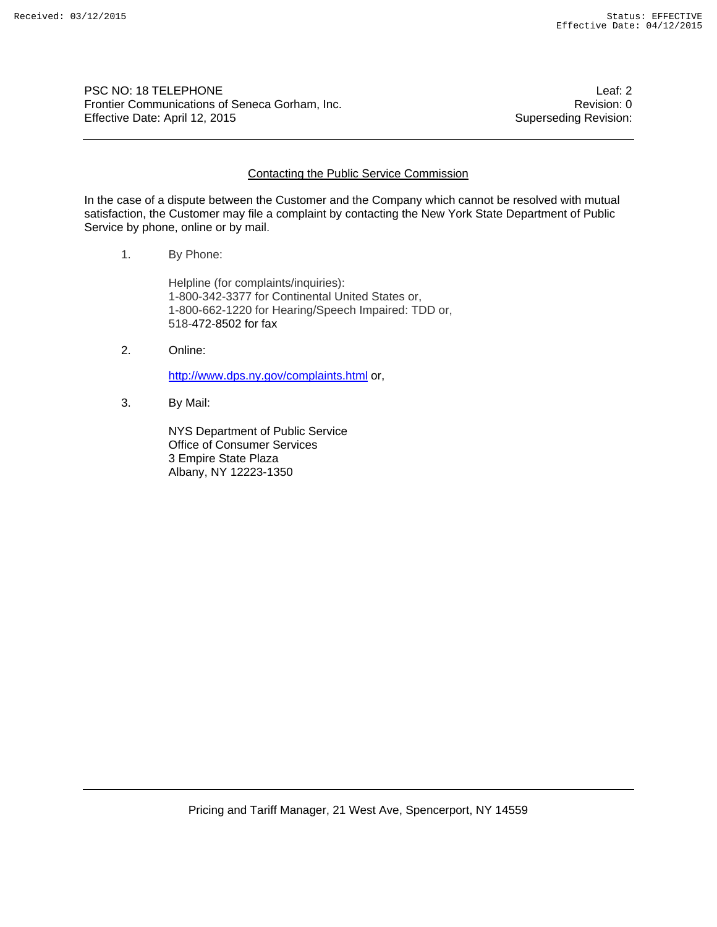PSC NO: 18 TELEPHONE<br>Frontier Communications of Seneca Gorham, Inc. <br>Revision: 0 Frontier Communications of Seneca Gorham, Inc. Effective Date: April 12, 2015 Superseding Revision:

### Contacting the Public Service Commission

In the case of a dispute between the Customer and the Company which cannot be resolved with mutual satisfaction, the Customer may file a complaint by contacting the New York State Department of Public Service by phone, online or by mail.

1. By Phone:

Helpline (for complaints/inquiries): 1-800-342-3377 for Continental United States or, 1-800-662-1220 for Hearing/Speech Impaired: TDD or, 518-472-8502 for fax

2. Online:

http://www.dps.ny.gov/complaints.html or,

3. By Mail:

NYS Department of Public Service Office of Consumer Services 3 Empire State Plaza Albany, NY 12223-1350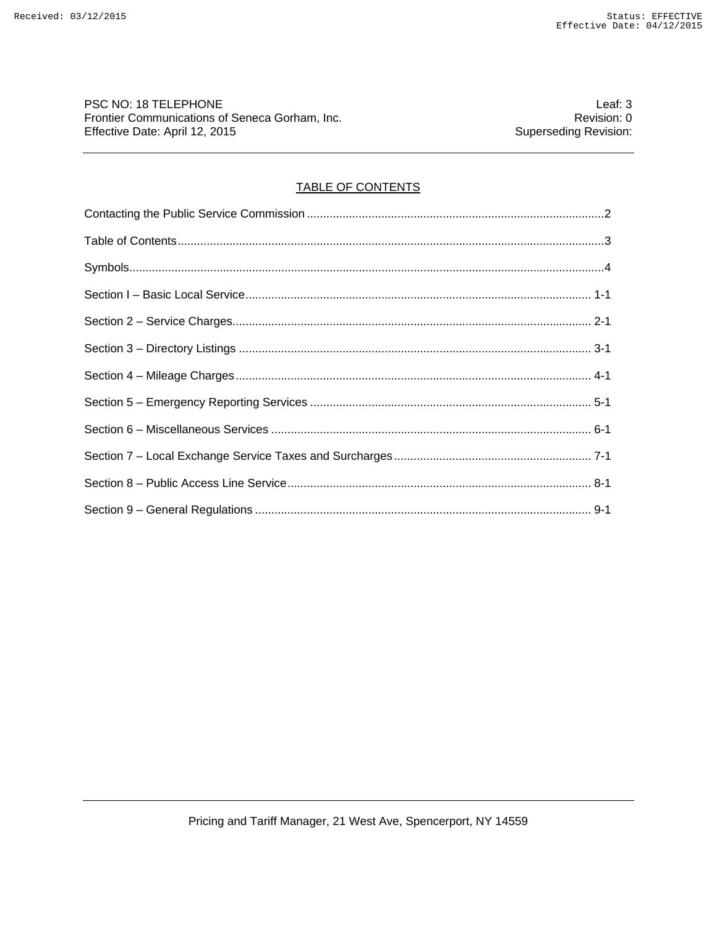PSC NO: 18 TELEPHONE Leaf: 3<br>Frontier Communications of Seneca Gorham, Inc. <br>Revision: 0 Frontier Communications of Seneca Gorham, Inc.<br>Effective Date: April 12, 2015 Creation: 0<br>Superseding Revision: Effective Date: April 12, 2015

# TABLE OF CONTENTS